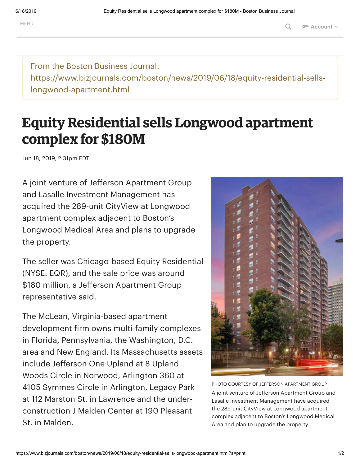From the Boston Business Journal: https://www.bizjournals.com/boston/news/2019/06/18/equity-residential-sellslongwood-apartment.html

## **Equity Residential sells Longwood apartment complex for \$180M**

Jun 18, 2019, 2:31pm EDT

A joint venture of Jefferson Apartment Group and Lasalle Investment Management has acquired the 289-unit CityView at Longwood apartment complex adjacent to Boston's Longwood Medical Area and plans to upgrade the property.

The seller was Chicago-based [Equity Residential](https://www.bizjournals.com/profile/company/org_ch_d90d43caada37405c4394651a63ca270) (NYSE: EQR), and the sale price was around \$180 million, a Jefferson Apartment Group representative said.

The McLean, Virginia-based apartment development firm owns multi-family complexes in Florida, Pennsylvania, the Washington, D.C. area and New England. Its Massachusetts assets include Jefferson One Upland at 8 Upland Woods Circle in Norwood, Arlington 360 at 4105 Symmes Circle in Arlington, Legacy Park at 112 Marston St. in Lawrence and the underconstruction J Malden Center at 190 Pleasant St. in Malden.



PHOTO COURTESY OF JEFFERSON APARTMENT GROUP A joint venture of Jefferson Apartment Group and Lasalle Investment Management have acquired the 289-unit CityView at Longwood apartment complex adjacent to Boston's Longwood Medical Area and plan to upgrade the property.